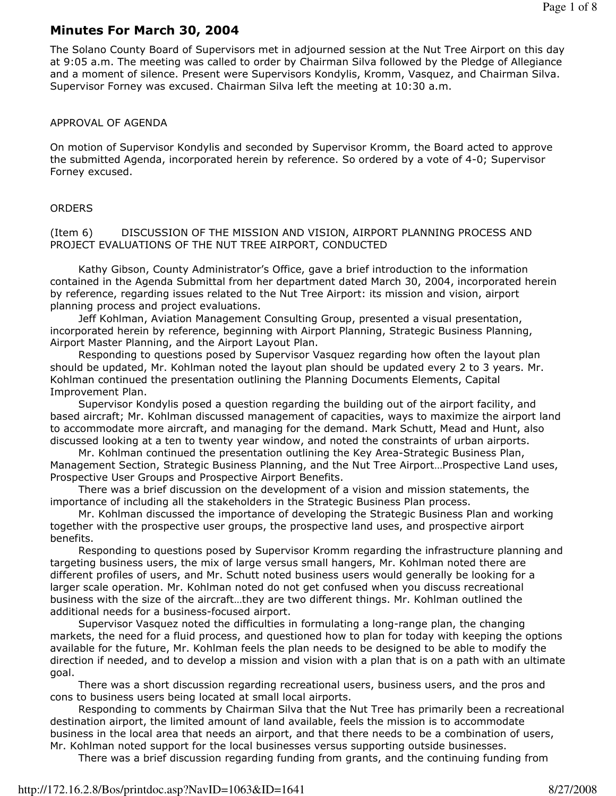## Minutes For March 30, 2004

The Solano County Board of Supervisors met in adjourned session at the Nut Tree Airport on this day at 9:05 a.m. The meeting was called to order by Chairman Silva followed by the Pledge of Allegiance and a moment of silence. Present were Supervisors Kondylis, Kromm, Vasquez, and Chairman Silva. Supervisor Forney was excused. Chairman Silva left the meeting at 10:30 a.m.

## APPROVAL OF AGENDA

On motion of Supervisor Kondylis and seconded by Supervisor Kromm, the Board acted to approve the submitted Agenda, incorporated herein by reference. So ordered by a vote of 4-0; Supervisor Forney excused.

## **ORDERS**

(Item 6) DISCUSSION OF THE MISSION AND VISION, AIRPORT PLANNING PROCESS AND PROJECT EVALUATIONS OF THE NUT TREE AIRPORT, CONDUCTED

 Kathy Gibson, County Administrator's Office, gave a brief introduction to the information contained in the Agenda Submittal from her department dated March 30, 2004, incorporated herein by reference, regarding issues related to the Nut Tree Airport: its mission and vision, airport planning process and project evaluations.

 Jeff Kohlman, Aviation Management Consulting Group, presented a visual presentation, incorporated herein by reference, beginning with Airport Planning, Strategic Business Planning, Airport Master Planning, and the Airport Layout Plan.

 Responding to questions posed by Supervisor Vasquez regarding how often the layout plan should be updated, Mr. Kohlman noted the layout plan should be updated every 2 to 3 years. Mr. Kohlman continued the presentation outlining the Planning Documents Elements, Capital Improvement Plan.

 Supervisor Kondylis posed a question regarding the building out of the airport facility, and based aircraft; Mr. Kohlman discussed management of capacities, ways to maximize the airport land to accommodate more aircraft, and managing for the demand. Mark Schutt, Mead and Hunt, also discussed looking at a ten to twenty year window, and noted the constraints of urban airports.

 Mr. Kohlman continued the presentation outlining the Key Area-Strategic Business Plan, Management Section, Strategic Business Planning, and the Nut Tree Airport…Prospective Land uses, Prospective User Groups and Prospective Airport Benefits.

 There was a brief discussion on the development of a vision and mission statements, the importance of including all the stakeholders in the Strategic Business Plan process.

 Mr. Kohlman discussed the importance of developing the Strategic Business Plan and working together with the prospective user groups, the prospective land uses, and prospective airport benefits.

 Responding to questions posed by Supervisor Kromm regarding the infrastructure planning and targeting business users, the mix of large versus small hangers, Mr. Kohlman noted there are different profiles of users, and Mr. Schutt noted business users would generally be looking for a larger scale operation. Mr. Kohlman noted do not get confused when you discuss recreational business with the size of the aircraft…they are two different things. Mr. Kohlman outlined the additional needs for a business-focused airport.

 Supervisor Vasquez noted the difficulties in formulating a long-range plan, the changing markets, the need for a fluid process, and questioned how to plan for today with keeping the options available for the future, Mr. Kohlman feels the plan needs to be designed to be able to modify the direction if needed, and to develop a mission and vision with a plan that is on a path with an ultimate goal.

 There was a short discussion regarding recreational users, business users, and the pros and cons to business users being located at small local airports.

 Responding to comments by Chairman Silva that the Nut Tree has primarily been a recreational destination airport, the limited amount of land available, feels the mission is to accommodate business in the local area that needs an airport, and that there needs to be a combination of users, Mr. Kohlman noted support for the local businesses versus supporting outside businesses.

There was a brief discussion regarding funding from grants, and the continuing funding from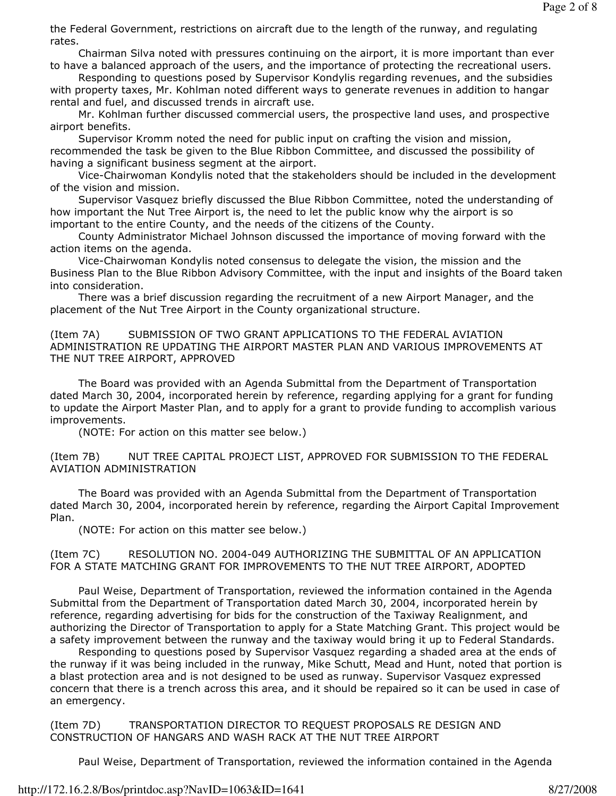the Federal Government, restrictions on aircraft due to the length of the runway, and regulating rates.

 Chairman Silva noted with pressures continuing on the airport, it is more important than ever to have a balanced approach of the users, and the importance of protecting the recreational users.

 Responding to questions posed by Supervisor Kondylis regarding revenues, and the subsidies with property taxes, Mr. Kohlman noted different ways to generate revenues in addition to hangar rental and fuel, and discussed trends in aircraft use.

 Mr. Kohlman further discussed commercial users, the prospective land uses, and prospective airport benefits.

 Supervisor Kromm noted the need for public input on crafting the vision and mission, recommended the task be given to the Blue Ribbon Committee, and discussed the possibility of having a significant business segment at the airport.

 Vice-Chairwoman Kondylis noted that the stakeholders should be included in the development of the vision and mission.

 Supervisor Vasquez briefly discussed the Blue Ribbon Committee, noted the understanding of how important the Nut Tree Airport is, the need to let the public know why the airport is so important to the entire County, and the needs of the citizens of the County.

 County Administrator Michael Johnson discussed the importance of moving forward with the action items on the agenda.

 Vice-Chairwoman Kondylis noted consensus to delegate the vision, the mission and the Business Plan to the Blue Ribbon Advisory Committee, with the input and insights of the Board taken into consideration.

 There was a brief discussion regarding the recruitment of a new Airport Manager, and the placement of the Nut Tree Airport in the County organizational structure.

(Item 7A) SUBMISSION OF TWO GRANT APPLICATIONS TO THE FEDERAL AVIATION ADMINISTRATION RE UPDATING THE AIRPORT MASTER PLAN AND VARIOUS IMPROVEMENTS AT THE NUT TREE AIRPORT, APPROVED

 The Board was provided with an Agenda Submittal from the Department of Transportation dated March 30, 2004, incorporated herein by reference, regarding applying for a grant for funding to update the Airport Master Plan, and to apply for a grant to provide funding to accomplish various improvements.

(NOTE: For action on this matter see below.)

(Item 7B) NUT TREE CAPITAL PROJECT LIST, APPROVED FOR SUBMISSION TO THE FEDERAL AVIATION ADMINISTRATION

 The Board was provided with an Agenda Submittal from the Department of Transportation dated March 30, 2004, incorporated herein by reference, regarding the Airport Capital Improvement Plan.

(NOTE: For action on this matter see below.)

(Item 7C) RESOLUTION NO. 2004-049 AUTHORIZING THE SUBMITTAL OF AN APPLICATION FOR A STATE MATCHING GRANT FOR IMPROVEMENTS TO THE NUT TREE AIRPORT, ADOPTED

 Paul Weise, Department of Transportation, reviewed the information contained in the Agenda Submittal from the Department of Transportation dated March 30, 2004, incorporated herein by reference, regarding advertising for bids for the construction of the Taxiway Realignment, and authorizing the Director of Transportation to apply for a State Matching Grant. This project would be a safety improvement between the runway and the taxiway would bring it up to Federal Standards.

 Responding to questions posed by Supervisor Vasquez regarding a shaded area at the ends of the runway if it was being included in the runway, Mike Schutt, Mead and Hunt, noted that portion is a blast protection area and is not designed to be used as runway. Supervisor Vasquez expressed concern that there is a trench across this area, and it should be repaired so it can be used in case of an emergency.

(Item 7D) TRANSPORTATION DIRECTOR TO REQUEST PROPOSALS RE DESIGN AND CONSTRUCTION OF HANGARS AND WASH RACK AT THE NUT TREE AIRPORT

Paul Weise, Department of Transportation, reviewed the information contained in the Agenda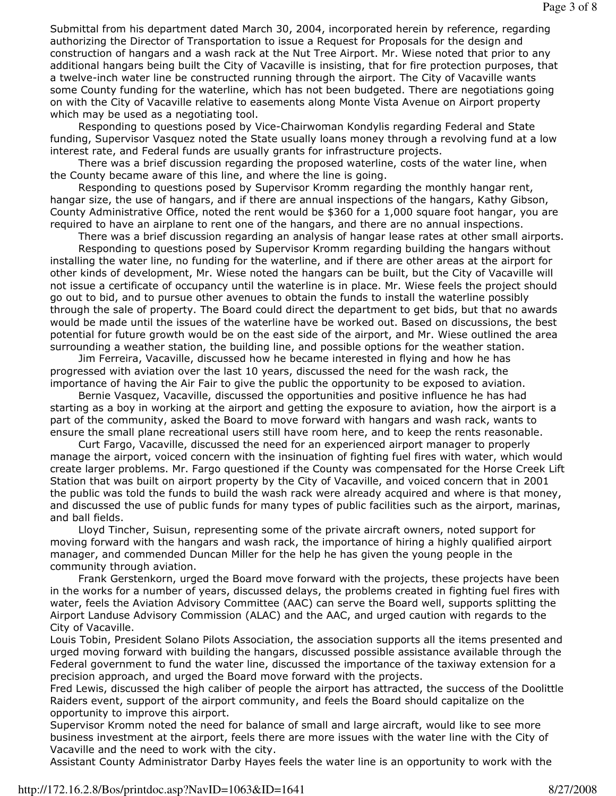Submittal from his department dated March 30, 2004, incorporated herein by reference, regarding authorizing the Director of Transportation to issue a Request for Proposals for the design and construction of hangars and a wash rack at the Nut Tree Airport. Mr. Wiese noted that prior to any additional hangars being built the City of Vacaville is insisting, that for fire protection purposes, that a twelve-inch water line be constructed running through the airport. The City of Vacaville wants some County funding for the waterline, which has not been budgeted. There are negotiations going on with the City of Vacaville relative to easements along Monte Vista Avenue on Airport property which may be used as a negotiating tool.

 Responding to questions posed by Vice-Chairwoman Kondylis regarding Federal and State funding, Supervisor Vasquez noted the State usually loans money through a revolving fund at a low interest rate, and Federal funds are usually grants for infrastructure projects.

 There was a brief discussion regarding the proposed waterline, costs of the water line, when the County became aware of this line, and where the line is going.

 Responding to questions posed by Supervisor Kromm regarding the monthly hangar rent, hangar size, the use of hangars, and if there are annual inspections of the hangars, Kathy Gibson, County Administrative Office, noted the rent would be \$360 for a 1,000 square foot hangar, you are required to have an airplane to rent one of the hangars, and there are no annual inspections.

There was a brief discussion regarding an analysis of hangar lease rates at other small airports.

 Responding to questions posed by Supervisor Kromm regarding building the hangars without installing the water line, no funding for the waterline, and if there are other areas at the airport for other kinds of development, Mr. Wiese noted the hangars can be built, but the City of Vacaville will not issue a certificate of occupancy until the waterline is in place. Mr. Wiese feels the project should go out to bid, and to pursue other avenues to obtain the funds to install the waterline possibly through the sale of property. The Board could direct the department to get bids, but that no awards would be made until the issues of the waterline have be worked out. Based on discussions, the best potential for future growth would be on the east side of the airport, and Mr. Wiese outlined the area surrounding a weather station, the building line, and possible options for the weather station.

 Jim Ferreira, Vacaville, discussed how he became interested in flying and how he has progressed with aviation over the last 10 years, discussed the need for the wash rack, the importance of having the Air Fair to give the public the opportunity to be exposed to aviation.

 Bernie Vasquez, Vacaville, discussed the opportunities and positive influence he has had starting as a boy in working at the airport and getting the exposure to aviation, how the airport is a part of the community, asked the Board to move forward with hangars and wash rack, wants to ensure the small plane recreational users still have room here, and to keep the rents reasonable.

 Curt Fargo, Vacaville, discussed the need for an experienced airport manager to properly manage the airport, voiced concern with the insinuation of fighting fuel fires with water, which would create larger problems. Mr. Fargo questioned if the County was compensated for the Horse Creek Lift Station that was built on airport property by the City of Vacaville, and voiced concern that in 2001 the public was told the funds to build the wash rack were already acquired and where is that money, and discussed the use of public funds for many types of public facilities such as the airport, marinas, and ball fields.

 Lloyd Tincher, Suisun, representing some of the private aircraft owners, noted support for moving forward with the hangars and wash rack, the importance of hiring a highly qualified airport manager, and commended Duncan Miller for the help he has given the young people in the community through aviation.

 Frank Gerstenkorn, urged the Board move forward with the projects, these projects have been in the works for a number of years, discussed delays, the problems created in fighting fuel fires with water, feels the Aviation Advisory Committee (AAC) can serve the Board well, supports splitting the Airport Landuse Advisory Commission (ALAC) and the AAC, and urged caution with regards to the City of Vacaville.

Louis Tobin, President Solano Pilots Association, the association supports all the items presented and urged moving forward with building the hangars, discussed possible assistance available through the Federal government to fund the water line, discussed the importance of the taxiway extension for a precision approach, and urged the Board move forward with the projects.

Fred Lewis, discussed the high caliber of people the airport has attracted, the success of the Doolittle Raiders event, support of the airport community, and feels the Board should capitalize on the opportunity to improve this airport.

Supervisor Kromm noted the need for balance of small and large aircraft, would like to see more business investment at the airport, feels there are more issues with the water line with the City of Vacaville and the need to work with the city.

Assistant County Administrator Darby Hayes feels the water line is an opportunity to work with the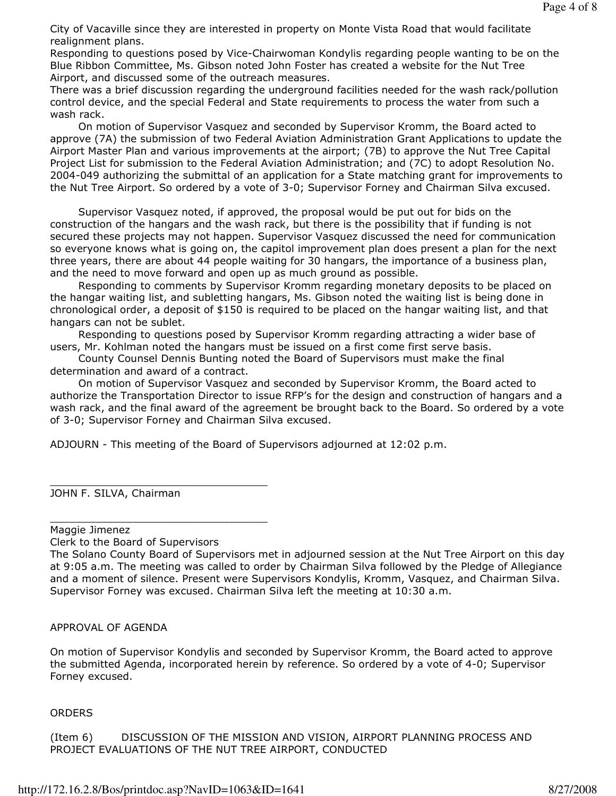City of Vacaville since they are interested in property on Monte Vista Road that would facilitate realignment plans.

Responding to questions posed by Vice-Chairwoman Kondylis regarding people wanting to be on the Blue Ribbon Committee, Ms. Gibson noted John Foster has created a website for the Nut Tree Airport, and discussed some of the outreach measures.

There was a brief discussion regarding the underground facilities needed for the wash rack/pollution control device, and the special Federal and State requirements to process the water from such a wash rack.

 On motion of Supervisor Vasquez and seconded by Supervisor Kromm, the Board acted to approve (7A) the submission of two Federal Aviation Administration Grant Applications to update the Airport Master Plan and various improvements at the airport; (7B) to approve the Nut Tree Capital Project List for submission to the Federal Aviation Administration; and (7C) to adopt Resolution No. 2004-049 authorizing the submittal of an application for a State matching grant for improvements to the Nut Tree Airport. So ordered by a vote of 3-0; Supervisor Forney and Chairman Silva excused.

 Supervisor Vasquez noted, if approved, the proposal would be put out for bids on the construction of the hangars and the wash rack, but there is the possibility that if funding is not secured these projects may not happen. Supervisor Vasquez discussed the need for communication so everyone knows what is going on, the capitol improvement plan does present a plan for the next three years, there are about 44 people waiting for 30 hangars, the importance of a business plan, and the need to move forward and open up as much ground as possible.

 Responding to comments by Supervisor Kromm regarding monetary deposits to be placed on the hangar waiting list, and subletting hangars, Ms. Gibson noted the waiting list is being done in chronological order, a deposit of \$150 is required to be placed on the hangar waiting list, and that hangars can not be sublet.

 Responding to questions posed by Supervisor Kromm regarding attracting a wider base of users, Mr. Kohlman noted the hangars must be issued on a first come first serve basis.

 County Counsel Dennis Bunting noted the Board of Supervisors must make the final determination and award of a contract.

 On motion of Supervisor Vasquez and seconded by Supervisor Kromm, the Board acted to authorize the Transportation Director to issue RFP's for the design and construction of hangars and a wash rack, and the final award of the agreement be brought back to the Board. So ordered by a vote of 3-0; Supervisor Forney and Chairman Silva excused.

ADJOURN - This meeting of the Board of Supervisors adjourned at 12:02 p.m.

\_\_\_\_\_\_\_\_\_\_\_\_\_\_\_\_\_\_\_\_\_\_\_\_\_\_\_\_\_\_\_\_\_\_ JOHN F. SILVA, Chairman

Maggie Jimenez

Clerk to the Board of Supervisors

\_\_\_\_\_\_\_\_\_\_\_\_\_\_\_\_\_\_\_\_\_\_\_\_\_\_\_\_\_\_\_\_\_\_

APPROVAL OF AGENDA

On motion of Supervisor Kondylis and seconded by Supervisor Kromm, the Board acted to approve the submitted Agenda, incorporated herein by reference. So ordered by a vote of 4-0; Supervisor Forney excused.

## **ORDERS**

(Item 6) DISCUSSION OF THE MISSION AND VISION, AIRPORT PLANNING PROCESS AND PROJECT EVALUATIONS OF THE NUT TREE AIRPORT, CONDUCTED

The Solano County Board of Supervisors met in adjourned session at the Nut Tree Airport on this day at 9:05 a.m. The meeting was called to order by Chairman Silva followed by the Pledge of Allegiance and a moment of silence. Present were Supervisors Kondylis, Kromm, Vasquez, and Chairman Silva. Supervisor Forney was excused. Chairman Silva left the meeting at 10:30 a.m.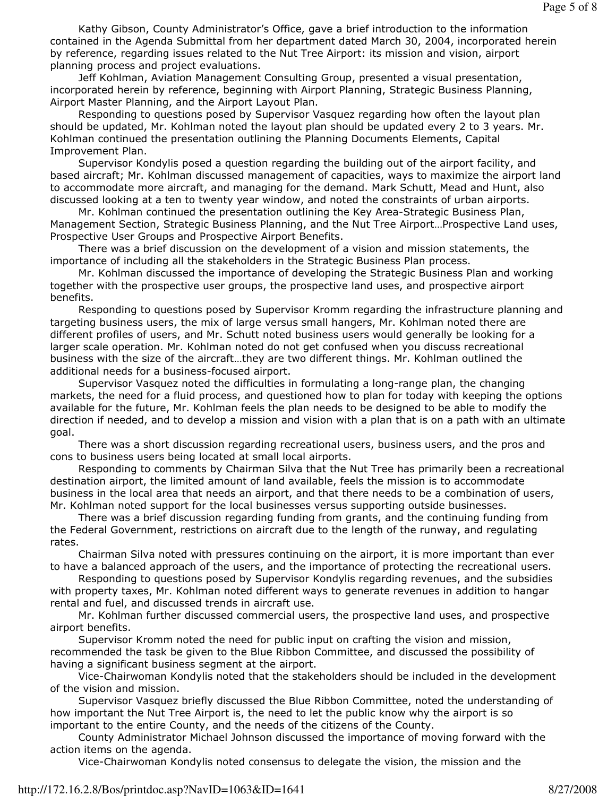Kathy Gibson, County Administrator's Office, gave a brief introduction to the information contained in the Agenda Submittal from her department dated March 30, 2004, incorporated herein by reference, regarding issues related to the Nut Tree Airport: its mission and vision, airport planning process and project evaluations.

 Jeff Kohlman, Aviation Management Consulting Group, presented a visual presentation, incorporated herein by reference, beginning with Airport Planning, Strategic Business Planning, Airport Master Planning, and the Airport Layout Plan.

 Responding to questions posed by Supervisor Vasquez regarding how often the layout plan should be updated, Mr. Kohlman noted the layout plan should be updated every 2 to 3 years. Mr. Kohlman continued the presentation outlining the Planning Documents Elements, Capital Improvement Plan.

 Supervisor Kondylis posed a question regarding the building out of the airport facility, and based aircraft; Mr. Kohlman discussed management of capacities, ways to maximize the airport land to accommodate more aircraft, and managing for the demand. Mark Schutt, Mead and Hunt, also discussed looking at a ten to twenty year window, and noted the constraints of urban airports.

 Mr. Kohlman continued the presentation outlining the Key Area-Strategic Business Plan, Management Section, Strategic Business Planning, and the Nut Tree Airport…Prospective Land uses, Prospective User Groups and Prospective Airport Benefits.

 There was a brief discussion on the development of a vision and mission statements, the importance of including all the stakeholders in the Strategic Business Plan process.

 Mr. Kohlman discussed the importance of developing the Strategic Business Plan and working together with the prospective user groups, the prospective land uses, and prospective airport benefits.

 Responding to questions posed by Supervisor Kromm regarding the infrastructure planning and targeting business users, the mix of large versus small hangers, Mr. Kohlman noted there are different profiles of users, and Mr. Schutt noted business users would generally be looking for a larger scale operation. Mr. Kohlman noted do not get confused when you discuss recreational business with the size of the aircraft…they are two different things. Mr. Kohlman outlined the additional needs for a business-focused airport.

 Supervisor Vasquez noted the difficulties in formulating a long-range plan, the changing markets, the need for a fluid process, and questioned how to plan for today with keeping the options available for the future, Mr. Kohlman feels the plan needs to be designed to be able to modify the direction if needed, and to develop a mission and vision with a plan that is on a path with an ultimate goal.

 There was a short discussion regarding recreational users, business users, and the pros and cons to business users being located at small local airports.

 Responding to comments by Chairman Silva that the Nut Tree has primarily been a recreational destination airport, the limited amount of land available, feels the mission is to accommodate business in the local area that needs an airport, and that there needs to be a combination of users, Mr. Kohlman noted support for the local businesses versus supporting outside businesses.

 There was a brief discussion regarding funding from grants, and the continuing funding from the Federal Government, restrictions on aircraft due to the length of the runway, and regulating rates.

 Chairman Silva noted with pressures continuing on the airport, it is more important than ever to have a balanced approach of the users, and the importance of protecting the recreational users.

 Responding to questions posed by Supervisor Kondylis regarding revenues, and the subsidies with property taxes, Mr. Kohlman noted different ways to generate revenues in addition to hangar rental and fuel, and discussed trends in aircraft use.

 Mr. Kohlman further discussed commercial users, the prospective land uses, and prospective airport benefits.

 Supervisor Kromm noted the need for public input on crafting the vision and mission, recommended the task be given to the Blue Ribbon Committee, and discussed the possibility of having a significant business segment at the airport.

 Vice-Chairwoman Kondylis noted that the stakeholders should be included in the development of the vision and mission.

 Supervisor Vasquez briefly discussed the Blue Ribbon Committee, noted the understanding of how important the Nut Tree Airport is, the need to let the public know why the airport is so important to the entire County, and the needs of the citizens of the County.

 County Administrator Michael Johnson discussed the importance of moving forward with the action items on the agenda.

Vice-Chairwoman Kondylis noted consensus to delegate the vision, the mission and the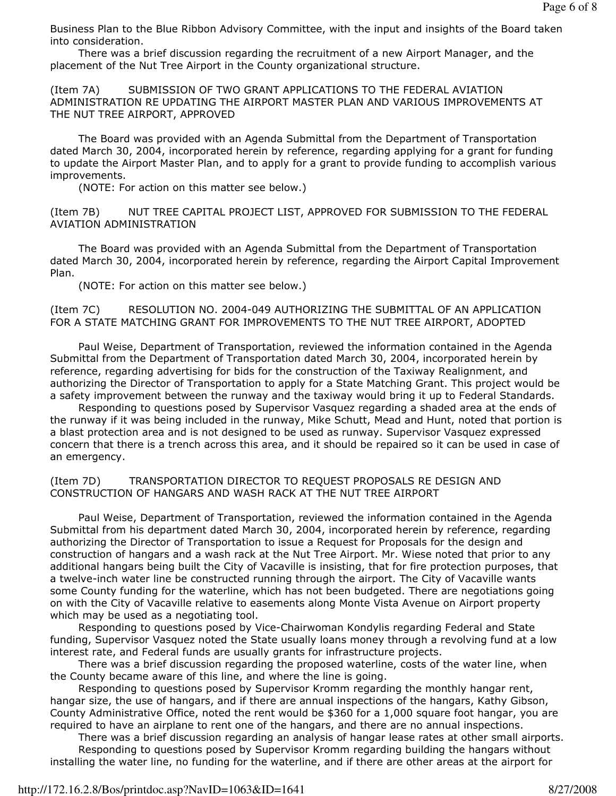Business Plan to the Blue Ribbon Advisory Committee, with the input and insights of the Board taken into consideration.

 There was a brief discussion regarding the recruitment of a new Airport Manager, and the placement of the Nut Tree Airport in the County organizational structure.

(Item 7A) SUBMISSION OF TWO GRANT APPLICATIONS TO THE FEDERAL AVIATION ADMINISTRATION RE UPDATING THE AIRPORT MASTER PLAN AND VARIOUS IMPROVEMENTS AT THE NUT TREE AIRPORT, APPROVED

 The Board was provided with an Agenda Submittal from the Department of Transportation dated March 30, 2004, incorporated herein by reference, regarding applying for a grant for funding to update the Airport Master Plan, and to apply for a grant to provide funding to accomplish various improvements.

(NOTE: For action on this matter see below.)

(Item 7B) NUT TREE CAPITAL PROJECT LIST, APPROVED FOR SUBMISSION TO THE FEDERAL AVIATION ADMINISTRATION

 The Board was provided with an Agenda Submittal from the Department of Transportation dated March 30, 2004, incorporated herein by reference, regarding the Airport Capital Improvement Plan.

(NOTE: For action on this matter see below.)

(Item 7C) RESOLUTION NO. 2004-049 AUTHORIZING THE SUBMITTAL OF AN APPLICATION FOR A STATE MATCHING GRANT FOR IMPROVEMENTS TO THE NUT TREE AIRPORT, ADOPTED

 Paul Weise, Department of Transportation, reviewed the information contained in the Agenda Submittal from the Department of Transportation dated March 30, 2004, incorporated herein by reference, regarding advertising for bids for the construction of the Taxiway Realignment, and authorizing the Director of Transportation to apply for a State Matching Grant. This project would be a safety improvement between the runway and the taxiway would bring it up to Federal Standards.

 Responding to questions posed by Supervisor Vasquez regarding a shaded area at the ends of the runway if it was being included in the runway, Mike Schutt, Mead and Hunt, noted that portion is a blast protection area and is not designed to be used as runway. Supervisor Vasquez expressed concern that there is a trench across this area, and it should be repaired so it can be used in case of an emergency.

(Item 7D) TRANSPORTATION DIRECTOR TO REQUEST PROPOSALS RE DESIGN AND CONSTRUCTION OF HANGARS AND WASH RACK AT THE NUT TREE AIRPORT

 Paul Weise, Department of Transportation, reviewed the information contained in the Agenda Submittal from his department dated March 30, 2004, incorporated herein by reference, regarding authorizing the Director of Transportation to issue a Request for Proposals for the design and construction of hangars and a wash rack at the Nut Tree Airport. Mr. Wiese noted that prior to any additional hangars being built the City of Vacaville is insisting, that for fire protection purposes, that a twelve-inch water line be constructed running through the airport. The City of Vacaville wants some County funding for the waterline, which has not been budgeted. There are negotiations going on with the City of Vacaville relative to easements along Monte Vista Avenue on Airport property which may be used as a negotiating tool.

 Responding to questions posed by Vice-Chairwoman Kondylis regarding Federal and State funding, Supervisor Vasquez noted the State usually loans money through a revolving fund at a low interest rate, and Federal funds are usually grants for infrastructure projects.

 There was a brief discussion regarding the proposed waterline, costs of the water line, when the County became aware of this line, and where the line is going.

 Responding to questions posed by Supervisor Kromm regarding the monthly hangar rent, hangar size, the use of hangars, and if there are annual inspections of the hangars, Kathy Gibson, County Administrative Office, noted the rent would be \$360 for a 1,000 square foot hangar, you are required to have an airplane to rent one of the hangars, and there are no annual inspections.

 There was a brief discussion regarding an analysis of hangar lease rates at other small airports. Responding to questions posed by Supervisor Kromm regarding building the hangars without installing the water line, no funding for the waterline, and if there are other areas at the airport for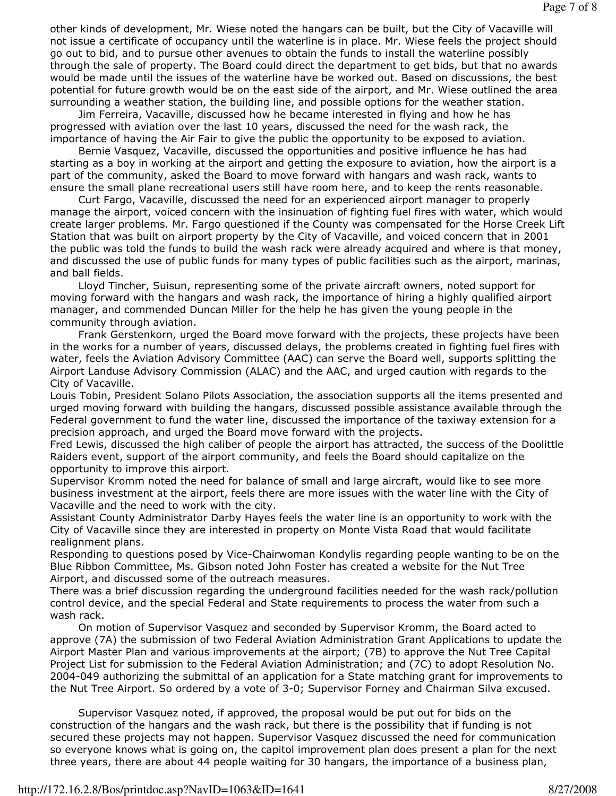other kinds of development, Mr. Wiese noted the hangars can be built, but the City of Vacaville will not issue a certificate of occupancy until the waterline is in place. Mr. Wiese feels the project should go out to bid, and to pursue other avenues to obtain the funds to install the waterline possibly through the sale of property. The Board could direct the department to get bids, but that no awards would be made until the issues of the waterline have be worked out. Based on discussions, the best potential for future growth would be on the east side of the airport, and Mr. Wiese outlined the area surrounding a weather station, the building line, and possible options for the weather station.

 Jim Ferreira, Vacaville, discussed how he became interested in flying and how he has progressed with aviation over the last 10 years, discussed the need for the wash rack, the importance of having the Air Fair to give the public the opportunity to be exposed to aviation.

 Bernie Vasquez, Vacaville, discussed the opportunities and positive influence he has had starting as a boy in working at the airport and getting the exposure to aviation, how the airport is a part of the community, asked the Board to move forward with hangars and wash rack, wants to ensure the small plane recreational users still have room here, and to keep the rents reasonable.

 Curt Fargo, Vacaville, discussed the need for an experienced airport manager to properly manage the airport, voiced concern with the insinuation of fighting fuel fires with water, which would create larger problems. Mr. Fargo questioned if the County was compensated for the Horse Creek Lift Station that was built on airport property by the City of Vacaville, and voiced concern that in 2001 the public was told the funds to build the wash rack were already acquired and where is that money, and discussed the use of public funds for many types of public facilities such as the airport, marinas, and ball fields.

 Lloyd Tincher, Suisun, representing some of the private aircraft owners, noted support for moving forward with the hangars and wash rack, the importance of hiring a highly qualified airport manager, and commended Duncan Miller for the help he has given the young people in the community through aviation.

 Frank Gerstenkorn, urged the Board move forward with the projects, these projects have been in the works for a number of years, discussed delays, the problems created in fighting fuel fires with water, feels the Aviation Advisory Committee (AAC) can serve the Board well, supports splitting the Airport Landuse Advisory Commission (ALAC) and the AAC, and urged caution with regards to the City of Vacaville.

Louis Tobin, President Solano Pilots Association, the association supports all the items presented and urged moving forward with building the hangars, discussed possible assistance available through the Federal government to fund the water line, discussed the importance of the taxiway extension for a precision approach, and urged the Board move forward with the projects.

Fred Lewis, discussed the high caliber of people the airport has attracted, the success of the Doolittle Raiders event, support of the airport community, and feels the Board should capitalize on the opportunity to improve this airport.

Supervisor Kromm noted the need for balance of small and large aircraft, would like to see more business investment at the airport, feels there are more issues with the water line with the City of Vacaville and the need to work with the city.

Assistant County Administrator Darby Hayes feels the water line is an opportunity to work with the City of Vacaville since they are interested in property on Monte Vista Road that would facilitate realignment plans.

Responding to questions posed by Vice-Chairwoman Kondylis regarding people wanting to be on the Blue Ribbon Committee, Ms. Gibson noted John Foster has created a website for the Nut Tree Airport, and discussed some of the outreach measures.

There was a brief discussion regarding the underground facilities needed for the wash rack/pollution control device, and the special Federal and State requirements to process the water from such a wash rack.

 On motion of Supervisor Vasquez and seconded by Supervisor Kromm, the Board acted to approve (7A) the submission of two Federal Aviation Administration Grant Applications to update the Airport Master Plan and various improvements at the airport; (7B) to approve the Nut Tree Capital Project List for submission to the Federal Aviation Administration; and (7C) to adopt Resolution No. 2004-049 authorizing the submittal of an application for a State matching grant for improvements to the Nut Tree Airport. So ordered by a vote of 3-0; Supervisor Forney and Chairman Silva excused.

 Supervisor Vasquez noted, if approved, the proposal would be put out for bids on the construction of the hangars and the wash rack, but there is the possibility that if funding is not secured these projects may not happen. Supervisor Vasquez discussed the need for communication so everyone knows what is going on, the capitol improvement plan does present a plan for the next three years, there are about 44 people waiting for 30 hangars, the importance of a business plan,